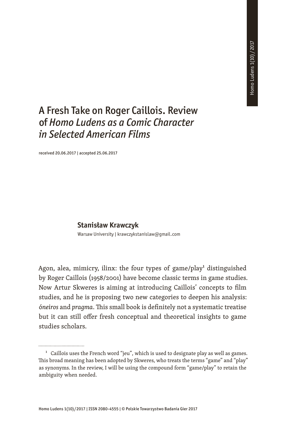## A Fresh Take on Roger Caillois. Review of *Homo Ludens as a Comic Character in Selected American Films*

received 20.06.2017 | accepted 25.06.2017

## **Stanisław Krawczyk**

Warsaw University | krawczykstanislaw@gmail.com

Agon, alea, mimicry, ilinx: the four types of game/play<sup>1</sup> distinguished by Roger Caillois (1958/2001) have become classic terms in game studies. Now Artur Skweres is aiming at introducing Caillois' concepts to film studies, and he is proposing two new categories to deepen his analysis: ó*neiros* and *pragma*. This small book is definitely not a systematic treatise but it can still offer fresh conceptual and theoretical insights to game studies scholars.

 $1$  Caillois uses the French word "jeu", which is used to designate play as well as games. This broad meaning has been adopted by Skweres, who treats the terms "game" and "play" as synonyms. In the review, I will be using the compound form "game/play" to retain the ambiguity when needed.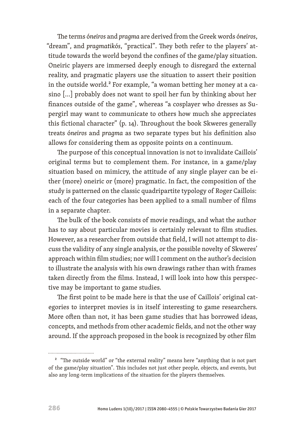The terms ó*neiros* and *pragma* are derived from the Greek words ó*neiros*, "dream", and *pragmatik*ó*s*, "practical". They both refer to the players' attitude towards the world beyond the confines of the game/play situation. Oneiric players are immersed deeply enough to disregard the external reality, and pragmatic players use the situation to assert their position in the outside world.<sup>2</sup> For example, "a woman betting her money at a casino […] probably does not want to spoil her fun by thinking about her finances outside of the game", whereas "a cosplayer who dresses as Supergirl may want to communicate to others how much she appreciates this fictional character" (p. 14). Throughout the book Skweres generally treats ó*neiros* and *pragma* as two separate types but his definition also allows for considering them as opposite points on a continuum.

The purpose of this conceptual innovation is not to invalidate Caillois' original terms but to complement them. For instance, in a game/play situation based on mimicry, the attitude of any single player can be either (more) oneiric or (more) pragmatic. In fact, the composition of the study is patterned on the classic quadripartite typology of Roger Caillois: each of the four categories has been applied to a small number of films in a separate chapter.

The bulk of the book consists of movie readings, and what the author has to say about particular movies is certainly relevant to film studies. However, as a researcher from outside that field, I will not attempt to discuss the validity of any single analysis, or the possible novelty of Skweres' approach within film studies; nor will I comment on the author's decision to illustrate the analysis with his own drawings rather than with frames taken directly from the films. Instead, I will look into how this perspective may be important to game studies.

The first point to be made here is that the use of Caillois' original categories to interpret movies is in itself interesting to game researchers. More often than not, it has been game studies that has borrowed ideas, concepts, and methods from other academic fields, and not the other way around. If the approach proposed in the book is recognized by other film

................................

<sup>&</sup>lt;sup>2</sup> "The outside world" or "the external reality" means here "anything that is not part of the game/play situation". This includes not just other people, objects, and events, but also any long-term implications of the situation for the players themselves.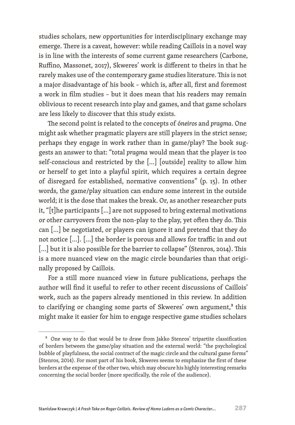studies scholars, new opportunities for interdisciplinary exchange may emerge. There is a caveat, however: while reading Caillois in a novel way is in line with the interests of some current game researchers (Carbone, Ruffino, Massonet, 2017), Skweres' work is different to theirs in that he rarely makes use of the contemporary game studies literature. This is not a major disadvantage of his book – which is, after all, first and foremost a work in film studies – but it does mean that his readers may remain oblivious to recent research into play and games, and that game scholars are less likely to discover that this study exists.

The second point is related to the concepts of ó*neiros* and *pragma*. One might ask whether pragmatic players are still players in the strict sense; perhaps they engage in work rather than in game/play? The book suggests an answer to that: "total *pragma* would mean that the player is too self-conscious and restricted by the […] [outside] reality to allow him or herself to get into a playful spirit, which requires a certain degree of disregard for established, normative conventions" (p. 15). In other words, the game/play situation can endure some interest in the outside world; it is the dose that makes the break. Or, as another researcher puts it, "[t]he participants […] are not supposed to bring external motivations or other carryovers from the non-play to the play, yet often they do. This can […] be negotiated, or players can ignore it and pretend that they do not notice […]. […] the border is porous and allows for traffic in and out [...] but it is also possible for the barrier to collapse" (Stenros, 2014). This is a more nuanced view on the magic circle boundaries than that originally proposed by Caillois.

For a still more nuanced view in future publications, perhaps the author will find it useful to refer to other recent discussions of Caillois' work, such as the papers already mentioned in this review. In addition to clarifying or changing some parts of Skweres' own argument,<sup>3</sup> this might make it easier for him to engage respective game studies scholars

.................................

<sup>&</sup>lt;sup>3</sup> One way to do that would be to draw from Jakko Stenros' tripartite classification of borders between the game/play situation and the external world: "the psychological bubble of playfulness, the social contract of the magic circle and the cultural game forms" (Stenros, 2014). For most part of his book, Skweres seems to emphasize the first of these borders at the expense of the other two, which may obscure his highly interesting remarks concerning the social border (more specifically, the role of the audience).